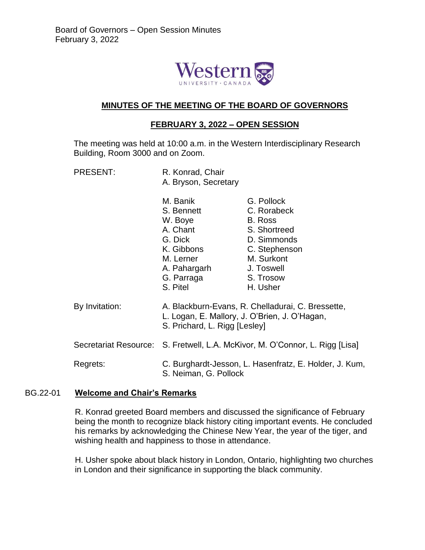

#### **MINUTES OF THE MEETING OF THE BOARD OF GOVERNORS**

#### **FEBRUARY 3, 2022 – OPEN SESSION**

The meeting was held at 10:00 a.m. in the Western Interdisciplinary Research Building, Room 3000 and on Zoom.

| <b>PRESENT:</b> | R. Konrad, Chair<br>A. Bryson, Secretary                                                                                                                                                                            |                                                                                                                                           |
|-----------------|---------------------------------------------------------------------------------------------------------------------------------------------------------------------------------------------------------------------|-------------------------------------------------------------------------------------------------------------------------------------------|
|                 | M. Banik<br>S. Bennett<br>W. Boye<br>A. Chant<br>G. Dick<br>K. Gibbons<br>M. Lerner<br>A. Pahargarh<br>G. Parraga<br>S. Pitel                                                                                       | G. Pollock<br>C. Rorabeck<br>B. Ross<br>S. Shortreed<br>D. Simmonds<br>C. Stephenson<br>M. Surkont<br>J. Toswell<br>S. Trosow<br>H. Usher |
| By Invitation:  | A. Blackburn-Evans, R. Chelladurai, C. Bressette,<br>L. Logan, E. Mallory, J. O'Brien, J. O'Hagan,<br>S. Prichard, L. Rigg [Lesley]<br>Secretariat Resource: S. Fretwell, L.A. McKivor, M. O'Connor, L. Rigg [Lisa] |                                                                                                                                           |
|                 |                                                                                                                                                                                                                     |                                                                                                                                           |

Regrets: C. Burghardt-Jesson, L. Hasenfratz, E. Holder, J. Kum, S. Neiman, G. Pollock

#### BG.22-01 **Welcome and Chair's Remarks**

R. Konrad greeted Board members and discussed the significance of February being the month to recognize black history citing important events. He concluded his remarks by acknowledging the Chinese New Year, the year of the tiger, and wishing health and happiness to those in attendance.

H. Usher spoke about black history in London, Ontario, highlighting two churches in London and their significance in supporting the black community.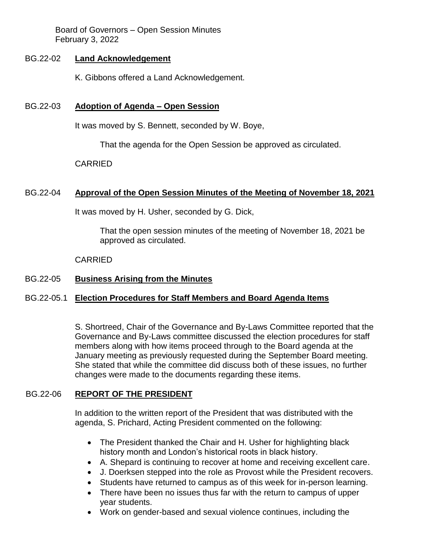Board of Governors – Open Session Minutes February 3, 2022

### BG.22-02 **Land Acknowledgement**

K. Gibbons offered a Land Acknowledgement.

### BG.22-03 **Adoption of Agenda – Open Session**

It was moved by S. Bennett, seconded by W. Boye,

That the agenda for the Open Session be approved as circulated.

#### CARRIED

### BG.22-04 **Approval of the Open Session Minutes of the Meeting of November 18, 2021**

It was moved by H. Usher, seconded by G. Dick,

That the open session minutes of the meeting of November 18, 2021 be approved as circulated.

#### CARRIED

### BG.22-05 **Business Arising from the Minutes**

### BG.22-05.1 **Election Procedures for Staff Members and Board Agenda Items**

S. Shortreed, Chair of the Governance and By-Laws Committee reported that the Governance and By-Laws committee discussed the election procedures for staff members along with how items proceed through to the Board agenda at the January meeting as previously requested during the September Board meeting. She stated that while the committee did discuss both of these issues, no further changes were made to the documents regarding these items.

#### BG.22-06 **REPORT OF THE PRESIDENT**

In addition to the written report of the President that was distributed with the agenda, S. Prichard, Acting President commented on the following:

- The President thanked the Chair and H. Usher for highlighting black history month and London's historical roots in black history.
- A. Shepard is continuing to recover at home and receiving excellent care.
- J. Doerksen stepped into the role as Provost while the President recovers.
- Students have returned to campus as of this week for in-person learning.
- There have been no issues thus far with the return to campus of upper year students.
- Work on gender-based and sexual violence continues, including the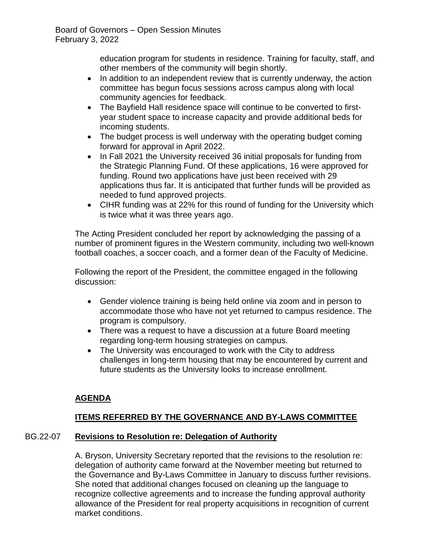education program for students in residence. Training for faculty, staff, and other members of the community will begin shortly.

- In addition to an independent review that is currently underway, the action committee has begun focus sessions across campus along with local community agencies for feedback.
- The Bayfield Hall residence space will continue to be converted to firstyear student space to increase capacity and provide additional beds for incoming students.
- The budget process is well underway with the operating budget coming forward for approval in April 2022.
- In Fall 2021 the University received 36 initial proposals for funding from the Strategic Planning Fund. Of these applications, 16 were approved for funding. Round two applications have just been received with 29 applications thus far. It is anticipated that further funds will be provided as needed to fund approved projects.
- CIHR funding was at 22% for this round of funding for the University which is twice what it was three years ago.

The Acting President concluded her report by acknowledging the passing of a number of prominent figures in the Western community, including two well-known football coaches, a soccer coach, and a former dean of the Faculty of Medicine.

Following the report of the President, the committee engaged in the following discussion:

- Gender violence training is being held online via zoom and in person to accommodate those who have not yet returned to campus residence. The program is compulsory.
- There was a request to have a discussion at a future Board meeting regarding long-term housing strategies on campus.
- The University was encouraged to work with the City to address challenges in long-term housing that may be encountered by current and future students as the University looks to increase enrollment.

# **AGENDA**

# **ITEMS REFERRED BY THE GOVERNANCE AND BY-LAWS COMMITTEE**

# BG.22-07 **Revisions to Resolution re: Delegation of Authority**

A. Bryson, University Secretary reported that the revisions to the resolution re: delegation of authority came forward at the November meeting but returned to the Governance and By-Laws Committee in January to discuss further revisions. She noted that additional changes focused on cleaning up the language to recognize collective agreements and to increase the funding approval authority allowance of the President for real property acquisitions in recognition of current market conditions.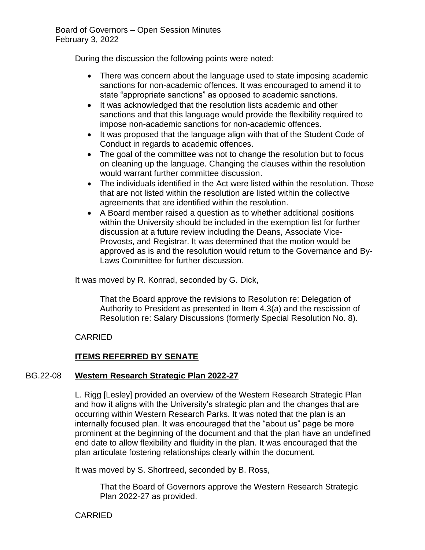During the discussion the following points were noted:

- There was concern about the language used to state imposing academic sanctions for non-academic offences. It was encouraged to amend it to state "appropriate sanctions" as opposed to academic sanctions.
- It was acknowledged that the resolution lists academic and other sanctions and that this language would provide the flexibility required to impose non-academic sanctions for non-academic offences.
- It was proposed that the language align with that of the Student Code of Conduct in regards to academic offences.
- The goal of the committee was not to change the resolution but to focus on cleaning up the language. Changing the clauses within the resolution would warrant further committee discussion.
- The individuals identified in the Act were listed within the resolution. Those that are not listed within the resolution are listed within the collective agreements that are identified within the resolution.
- A Board member raised a question as to whether additional positions within the University should be included in the exemption list for further discussion at a future review including the Deans, Associate Vice-Provosts, and Registrar. It was determined that the motion would be approved as is and the resolution would return to the Governance and By-Laws Committee for further discussion.

It was moved by R. Konrad, seconded by G. Dick,

That the Board approve the revisions to Resolution re: Delegation of Authority to President as presented in Item 4.3(a) and the rescission of Resolution re: Salary Discussions (formerly Special Resolution No. 8).

### CARRIED

# **ITEMS REFERRED BY SENATE**

### BG.22-08 **Western Research Strategic Plan 2022-27**

L. Rigg [Lesley] provided an overview of the Western Research Strategic Plan and how it aligns with the University's strategic plan and the changes that are occurring within Western Research Parks. It was noted that the plan is an internally focused plan. It was encouraged that the "about us" page be more prominent at the beginning of the document and that the plan have an undefined end date to allow flexibility and fluidity in the plan. It was encouraged that the plan articulate fostering relationships clearly within the document.

It was moved by S. Shortreed, seconded by B. Ross,

That the Board of Governors approve the Western Research Strategic Plan 2022-27 as provided.

CARRIED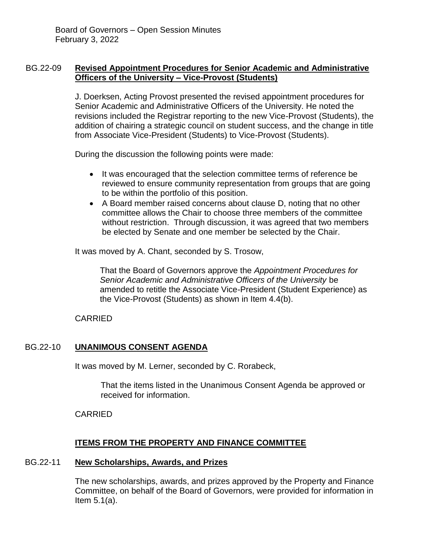### BG.22-09 **Revised Appointment Procedures for Senior Academic and Administrative Officers of the University – Vice-Provost (Students)**

J. Doerksen, Acting Provost presented the revised appointment procedures for Senior Academic and Administrative Officers of the University. He noted the revisions included the Registrar reporting to the new Vice-Provost (Students), the addition of chairing a strategic council on student success, and the change in title from Associate Vice-President (Students) to Vice-Provost (Students).

During the discussion the following points were made:

- It was encouraged that the selection committee terms of reference be reviewed to ensure community representation from groups that are going to be within the portfolio of this position.
- A Board member raised concerns about clause D, noting that no other committee allows the Chair to choose three members of the committee without restriction. Through discussion, it was agreed that two members be elected by Senate and one member be selected by the Chair.

It was moved by A. Chant, seconded by S. Trosow,

That the Board of Governors approve the *Appointment Procedures for Senior Academic and Administrative Officers of the University* be amended to retitle the Associate Vice-President (Student Experience) as the Vice-Provost (Students) as shown in Item 4.4(b).

#### CARRIED

### BG.22-10 **UNANIMOUS CONSENT AGENDA**

It was moved by M. Lerner, seconded by C. Rorabeck,

That the items listed in the Unanimous Consent Agenda be approved or received for information.

CARRIED

### **ITEMS FROM THE PROPERTY AND FINANCE COMMITTEE**

#### BG.22-11 **New Scholarships, Awards, and Prizes**

The new scholarships, awards, and prizes approved by the Property and Finance Committee, on behalf of the Board of Governors, were provided for information in Item 5.1(a).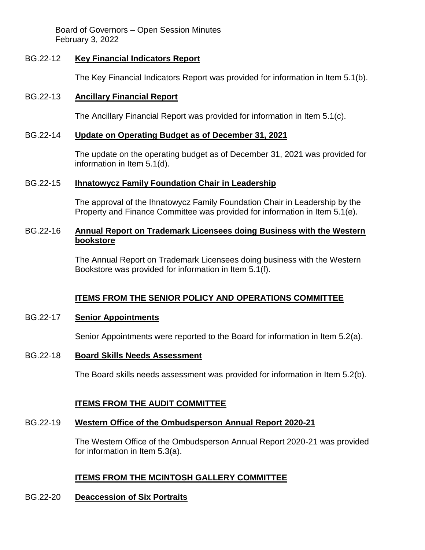Board of Governors – Open Session Minutes February 3, 2022

#### BG.22-12 **Key Financial Indicators Report**

The Key Financial Indicators Report was provided for information in Item 5.1(b).

### BG.22-13 **Ancillary Financial Report**

The Ancillary Financial Report was provided for information in Item 5.1(c).

#### BG.22-14 **Update on Operating Budget as of December 31, 2021**

The update on the operating budget as of December 31, 2021 was provided for information in Item 5.1(d).

#### BG.22-15 **Ihnatowycz Family Foundation Chair in Leadership**

The approval of the Ihnatowycz Family Foundation Chair in Leadership by the Property and Finance Committee was provided for information in Item 5.1(e).

#### BG.22-16 **Annual Report on Trademark Licensees doing Business with the Western bookstore**

The Annual Report on Trademark Licensees doing business with the Western Bookstore was provided for information in Item 5.1(f).

### **ITEMS FROM THE SENIOR POLICY AND OPERATIONS COMMITTEE**

#### BG.22-17 **Senior Appointments**

Senior Appointments were reported to the Board for information in Item 5.2(a).

#### BG.22-18 **Board Skills Needs Assessment**

The Board skills needs assessment was provided for information in Item 5.2(b).

#### **ITEMS FROM THE AUDIT COMMITTEE**

#### BG.22-19 **Western Office of the Ombudsperson Annual Report 2020-21**

The Western Office of the Ombudsperson Annual Report 2020-21 was provided for information in Item 5.3(a).

### **ITEMS FROM THE MCINTOSH GALLERY COMMITTEE**

#### BG.22-20 **Deaccession of Six Portraits**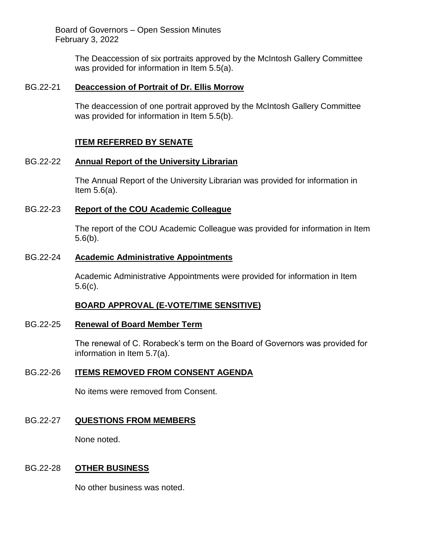Board of Governors – Open Session Minutes February 3, 2022

> The Deaccession of six portraits approved by the McIntosh Gallery Committee was provided for information in Item 5.5(a).

#### BG.22-21 **Deaccession of Portrait of Dr. Ellis Morrow**

The deaccession of one portrait approved by the McIntosh Gallery Committee was provided for information in Item 5.5(b).

### **ITEM REFERRED BY SENATE**

#### BG.22-22 **Annual Report of the University Librarian**

The Annual Report of the University Librarian was provided for information in Item 5.6(a).

#### BG.22-23 **Report of the COU Academic Colleague**

The report of the COU Academic Colleague was provided for information in Item 5.6(b).

#### BG.22-24 **Academic Administrative Appointments**

Academic Administrative Appointments were provided for information in Item 5.6(c).

#### **BOARD APPROVAL (E-VOTE/TIME SENSITIVE)**

#### BG.22-25 **Renewal of Board Member Term**

The renewal of C. Rorabeck's term on the Board of Governors was provided for information in Item 5.7(a).

#### BG.22-26 **ITEMS REMOVED FROM CONSENT AGENDA**

No items were removed from Consent.

#### BG.22-27 **QUESTIONS FROM MEMBERS**

None noted.

#### BG.22-28 **OTHER BUSINESS**

No other business was noted.